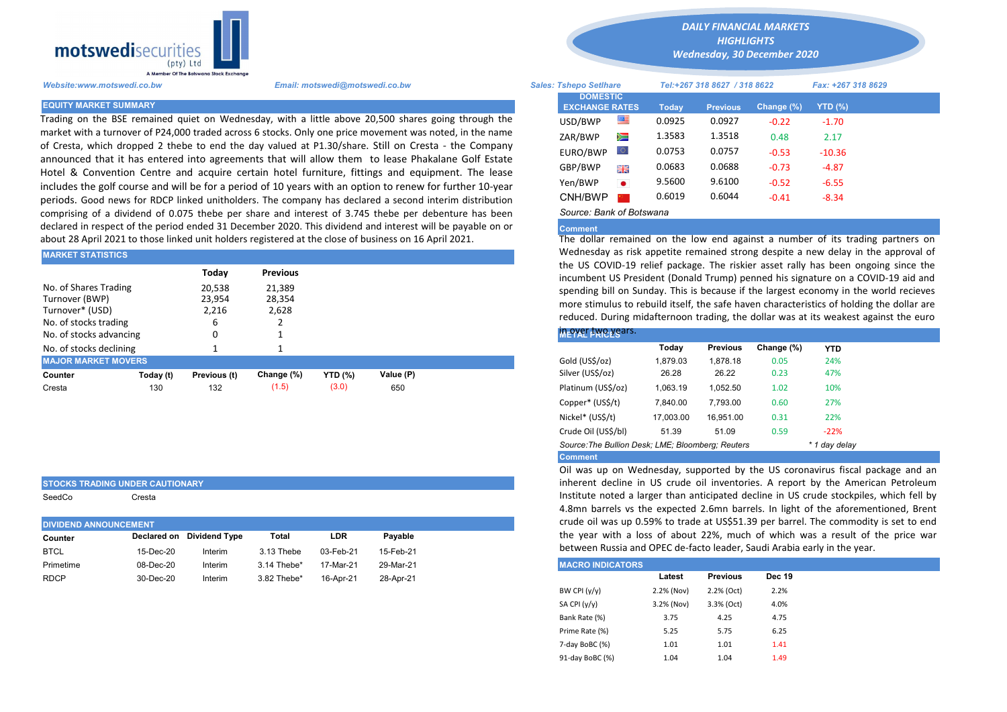

Trading on the BSE remained quiet on Wednesday, with a little above 20,500 shares going through the market with a turnover of P24,000 traded across 6 stocks. Only one price movement was noted, in the name of Cresta, which dropped 2 thebe to end the day valued at P1.30/share. Still on Cresta - the Company announced that it has entered into agreements that will allow them to lease Phakalane Golf Estate Hotel & Convention Centre and acquire certain hotel furniture, fittings and equipment. The lease includes the golf course and will be for a period of 10 years with an option to renew for further 10-year periods. Good news for RDCP linked unitholders. The company has declared a second interim distribution comprising of a dividend of 0.075 thebe per share and interest of 3.745 thebe per debenture has been declared in respect of the period ended 31 December 2020. This dividend and interest will be payable on or about 28 April 2021 to those linked unit holders registered at the close of business on 16 April 2021.

| IMARKET STATISTICS                                                                                             |           |                           |                           |                | <u>Wednesday as risk appetite remained strong despite a new delay in</u> |                                                                                                                                                                                                                                                    |  |  |  |  |  |
|----------------------------------------------------------------------------------------------------------------|-----------|---------------------------|---------------------------|----------------|--------------------------------------------------------------------------|----------------------------------------------------------------------------------------------------------------------------------------------------------------------------------------------------------------------------------------------------|--|--|--|--|--|
|                                                                                                                |           | Todav                     | <b>Previous</b>           |                |                                                                          | the US COVID-19 relief package. The riskier asset rally has been of<br>incumbent US President (Donald Trump) penned his signature on a C                                                                                                           |  |  |  |  |  |
| No. of Shares Trading<br>Turnover (BWP)<br>Turnover* (USD)<br>No. of stocks trading<br>No. of stocks advancing |           | 20,538<br>23,954<br>2,216 | 21,389<br>28,354<br>2,628 |                |                                                                          | spending bill on Sunday. This is because if the largest economy in the<br>more stimulus to rebuild itself, the safe haven characteristics of holdi<br>reduced. During midafternoon trading, the dollar was at its weakest<br><b>INEPACT FRICES</b> |  |  |  |  |  |
| No. of stocks declining                                                                                        |           |                           |                           |                |                                                                          | Change (%)<br>Todav<br><b>Previous</b><br><b>YTD</b>                                                                                                                                                                                               |  |  |  |  |  |
| <b>MAJOR MARKET MOVERS</b>                                                                                     |           |                           |                           |                |                                                                          | Gold (US\$/oz)<br>1.879.03<br>24%<br>1.878.18<br>0.05                                                                                                                                                                                              |  |  |  |  |  |
| Counter                                                                                                        | Today (t) | Previous (t)              | Change (%)                | <b>YTD</b> (%) | Value (P)                                                                | 47%<br>Silver (US\$/oz)<br>26.28<br>26.22<br>0.23                                                                                                                                                                                                  |  |  |  |  |  |
| Cresta                                                                                                         | 130       | 132                       | (1.5)                     | (3.0)          | 650                                                                      | Platinum (US\$/oz)<br>10%<br>1,063.19<br>1,052.50<br>1.02                                                                                                                                                                                          |  |  |  |  |  |
|                                                                                                                |           |                           |                           |                |                                                                          |                                                                                                                                                                                                                                                    |  |  |  |  |  |

|  |  | STOCKS TRADING UNDER CAUTIONARY |  |  |  |
|--|--|---------------------------------|--|--|--|
|--|--|---------------------------------|--|--|--|

SeedCo Cresta

| <b>DIVIDEND ANNOUNCEMENT</b> |           |                           |             |            |           |
|------------------------------|-----------|---------------------------|-------------|------------|-----------|
| Counter                      |           | Declared on Dividend Type | Total       | <b>LDR</b> | Pavable   |
| <b>BTCL</b>                  | 15-Dec-20 | Interim                   | 3.13 Thebe  | 03-Feb-21  | 15-Feb-21 |
| Primetime                    | 08-Dec-20 | Interim                   | 3.14 Thebe* | 17-Mar-21  | 29-Mar-21 |
| <b>RDCP</b>                  | 30-Dec-20 | Interim                   | 3.82 Thebe* | 16-Apr-21  | 28-Apr-21 |
|                              |           |                           |             |            |           |

*DAILY FINANCIAL MARKETS*

*HIGHLIGHTS Wednesday, 30 December 2020* 

| A Member Of the Boiswand Slock Exchange |                                                                                                                                                                                                           |                                          |           |        |                              |               |                    |  |
|-----------------------------------------|-----------------------------------------------------------------------------------------------------------------------------------------------------------------------------------------------------------|------------------------------------------|-----------|--------|------------------------------|---------------|--------------------|--|
| Website:www.motswedi.co.bw              | Email: motswedi@motswedi.co.bw                                                                                                                                                                            | <b>Sales: Tshepo Setlhare</b>            |           |        | Tel:+267 318 8627 / 318 8622 |               | Fax: +267 318 8629 |  |
| <b>EQUITY MARKET SUMMARY</b>            |                                                                                                                                                                                                           | <b>DOMESTIC</b><br><b>EXCHANGE RATES</b> |           | Today  | <b>Previous</b>              | Change $(\%)$ | YTD $(\%)$         |  |
|                                         | Frading on the BSE remained quiet on Wednesday, with a little above 20,500 shares going through the                                                                                                       | USD/BWP                                  | 噻         | 0.0925 | 0.0927                       | $-0.22$       | $-1.70$            |  |
|                                         | market with a turnover of P24,000 traded across 6 stocks. Only one price movement was noted, in the name                                                                                                  | ZAR/BWP                                  | Ň         | 1.3583 | 1.3518                       | 0.48          | 2.17               |  |
|                                         | of Cresta, which dropped 2 thebe to end the day valued at P1.30/share. Still on Cresta - the Company<br>announced that it has entered into agreements that will allow them to lease Phakalane Golf Estate | EURO/BWP                                 |           | 0.0753 | 0.0757                       | $-0.53$       | $-10.36$           |  |
|                                         | Hotel & Convention Centre and acquire certain hotel furniture, fittings and equipment. The lease                                                                                                          | GBP/BWP                                  | 開開        | 0.0683 | 0.0688                       | $-0.73$       | $-4.87$            |  |
|                                         | ncludes the golf course and will be for a period of 10 years with an option to renew for further 10-year                                                                                                  | Yen/BWP                                  | $\bullet$ | 9.5600 | 9.6100                       | $-0.52$       | $-6.55$            |  |
|                                         | eriods. Good news for RDCP linked unitholders. The company has declared a second interim distribution                                                                                                     | CNH/BWP                                  |           | 0.6019 | 0.6044                       | $-0.41$       | $-8.34$            |  |
|                                         | comprising of a dividend of 0.075 thebe per share and interest of 3.745 thebe per debenture has been:                                                                                                     | Source: Bank of Botswana                 |           |        |                              |               |                    |  |

## **Comment**

The dollar remained on the low end against a number of its trading partners on Wednesday as risk appetite remained strong despite a new delay in the approval of the US COVID-19 relief package. The riskier asset rally has been ongoing since the incumbent US President (Donald Trump) penned his signature on a COVID-19 aid and spending bill on Sunday. This is because if the largest economy in the world recieves more stimulus to rebuild itself, the safe haven characteristics of holding the dollar are reduced. During midafternoon trading, the dollar was at its weakest against the euro

## in over two years.

|                                                   | Today     | <b>Previous</b> | Change (%) | <b>YTD</b>    |
|---------------------------------------------------|-----------|-----------------|------------|---------------|
| Gold (US\$/oz)                                    | 1,879.03  | 1.878.18        | 0.05       | 24%           |
| Silver (US\$/oz)                                  | 26.28     | 26.22           | 0.23       | 47%           |
| Platinum (US\$/oz)                                | 1.063.19  | 1.052.50        | 1.02       | 10%           |
| Copper* (US\$/t)                                  | 7.840.00  | 7.793.00        | 0.60       | 27%           |
| Nickel* (US\$/t)                                  | 17,003.00 | 16.951.00       | 0.31       | 22%           |
| Crude Oil (US\$/bl)                               | 51.39     | 51.09           | 0.59       | $-22%$        |
| Source: The Bullion Desk: LME; Bloomberg: Reuters |           |                 |            | * 1 day delay |
| <b>Comment</b>                                    |           |                 |            |               |

Oil was up on Wednesday, supported by the US coronavirus fiscal package and an inherent decline in US crude oil inventories. A report by the American Petroleum Institute noted a larger than anticipated decline in US crude stockpiles, which fell by 4.8mn barrels vs the expected 2.6mn barrels. In light of the aforementioned, Brent crude oil was up 0.59% to trade at US\$51.39 per barrel. The commodity is set to end the year with a loss of about 22%, much of which was a result of the price war between Russia and OPEC de-facto leader, Saudi Arabia early in the year.

| <b>IMACRO INDICATORS</b> |            |                 |               |
|--------------------------|------------|-----------------|---------------|
|                          | Latest     | <b>Previous</b> | <b>Dec 19</b> |
| BW CPI $(y/y)$           | 2.2% (Nov) | 2.2% (Oct)      | 2.2%          |
| SA CPI (y/y)             | 3.2% (Nov) | 3.3% (Oct)      | 4.0%          |
| Bank Rate (%)            | 3.75       | 4.25            | 4.75          |
| Prime Rate (%)           | 5.25       | 5.75            | 6.25          |
| 7-day BoBC (%)           | 1.01       | 1.01            | 1.41          |
| 91-day BoBC (%)          | 1.04       | 1.04            | 1.49          |